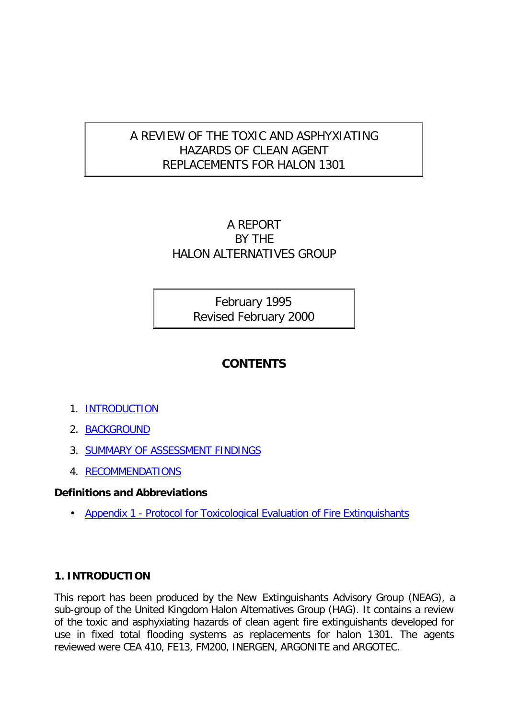# A REVIEW OF THE TOXIC AND ASPHYXIATING HAZARDS OF CLEAN AGENT REPLACEMENTS FOR HALON 1301

# A REPORT BY THE HALON ALTERNATIVES GROUP

February 1995 Revised February 2000

# **CONTENTS**

- 1. INTRODUCTION
- 2. BACKGROUND
- 3. SUMMARY OF ASSESSMENT FINDINGS
- 4. RECOMMENDATIONS

# **Definitions and Abbreviations**

• Appendix 1 - Protocol for Toxicological Evaluation of Fire Extinguishants

# **1. INTRODUCTION**

This report has been produced by the New Extinguishants Advisory Group (NEAG), a sub-group of the United Kingdom Halon Alternatives Group (HAG). It contains a review of the toxic and asphyxiating hazards of clean agent fire extinguishants developed for use in fixed total flooding systems as replacements for halon 1301. The agents reviewed were CEA 410, FE13, FM200, INERGEN, ARGONITE and ARGOTEC.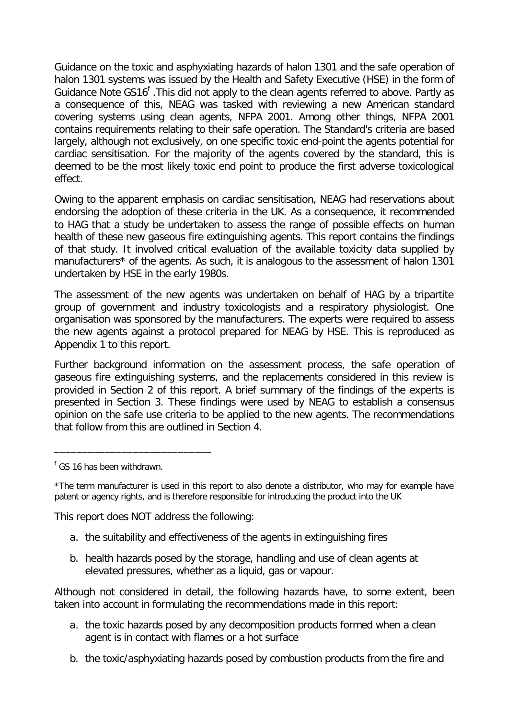Guidance on the toxic and asphyxiating hazards of halon 1301 and the safe operation of halon 1301 systems was issued by the Health and Safety Executive (HSE) in the form of Guidance Note GS16<sup>f</sup>. This did not apply to the clean agents referred to above. Partly as a consequence of this, NEAG was tasked with reviewing a new American standard covering systems using clean agents, NFPA 2001. Among other things, NFPA 2001 contains requirements relating to their safe operation. The Standard's criteria are based largely, although not exclusively, on one specific toxic end-point the agents potential for cardiac sensitisation. For the majority of the agents covered by the standard, this is deemed to be the most likely toxic end point to produce the first adverse toxicological effect.

Owing to the apparent emphasis on cardiac sensitisation, NEAG had reservations about endorsing the adoption of these criteria in the UK. As a consequence, it recommended to HAG that a study be undertaken to assess the range of possible effects on human health of these new gaseous fire extinguishing agents. This report contains the findings of that study. It involved critical evaluation of the available toxicity data supplied by manufacturers\* of the agents. As such, it is analogous to the assessment of halon 1301 undertaken by HSE in the early 1980s.

The assessment of the new agents was undertaken on behalf of HAG by a tripartite group of government and industry toxicologists and a respiratory physiologist. One organisation was sponsored by the manufacturers. The experts were required to assess the new agents against a protocol prepared for NEAG by HSE. This is reproduced as Appendix 1 to this report.

Further background information on the assessment process, the safe operation of gaseous fire extinguishing systems, and the replacements considered in this review is provided in Section 2 of this report. A brief summary of the findings of the experts is presented in Section 3. These findings were used by NEAG to establish a consensus opinion on the safe use criteria to be applied to the new agents. The recommendations that follow from this are outlined in Section 4.

\_\_\_\_\_\_\_\_\_\_\_\_\_\_\_\_\_\_\_\_\_\_\_\_\_\_\_\_

This report does NOT address the following:

- a. the suitability and effectiveness of the agents in extinguishing fires
- b. health hazards posed by the storage, handling and use of clean agents at elevated pressures, whether as a liquid, gas or vapour.

Although not considered in detail, the following hazards have, to some extent, been taken into account in formulating the recommendations made in this report:

- a. the toxic hazards posed by any decomposition products formed when a clean agent is in contact with flames or a hot surface
- b. the toxic/asphyxiating hazards posed by combustion products from the fire and

<sup>&</sup>lt;sup>f</sup> GS 16 has been withdrawn.

<sup>\*</sup>The term *manufacturer* is used in this report to also denote a distributor, who may for example have patent or agency rights, and is therefore responsible for introducing the product into the UK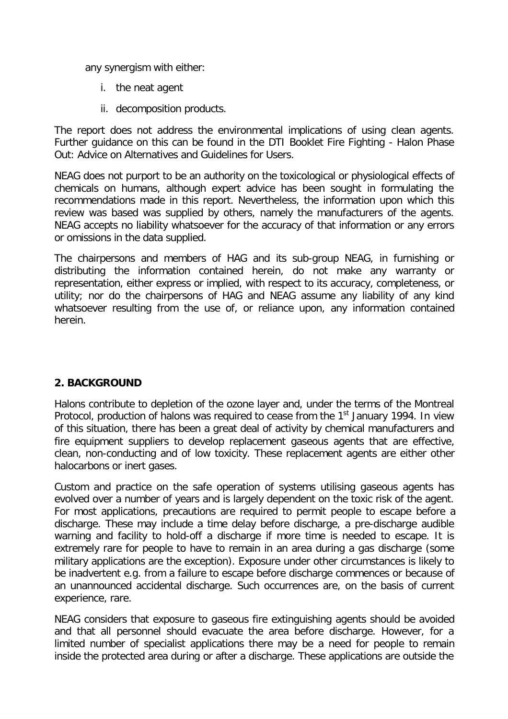any synergism with either:

- i. the neat agent
- ii. decomposition products.

The report does not address the environmental implications of using clean agents. Further guidance on this can be found in the *DTI Booklet Fire Fighting - Halon Phase Out: Advice on Alternatives and Guidelines for Users.*

NEAG does not purport to be an authority on the toxicological or physiological effects of chemicals on humans, although expert advice has been sought in formulating the recommendations made in this report. Nevertheless, the information upon which this review was based was supplied by others, namely the manufacturers of the agents. NEAG accepts no liability whatsoever for the accuracy of that information or any errors or omissions in the data supplied.

The chairpersons and members of HAG and its sub-group NEAG, in furnishing or distributing the information contained herein, do not make any warranty or representation, either express or implied, with respect to its accuracy, completeness, or utility; nor do the chairpersons of HAG and NEAG assume any liability of any kind whatsoever resulting from the use of, or reliance upon, any information contained herein.

# **2. BACKGROUND**

Halons contribute to depletion of the ozone layer and, under the terms of the Montreal Protocol, production of halons was required to cease from the 1<sup>st</sup> January 1994. In view of this situation, there has been a great deal of activity by chemical manufacturers and fire equipment suppliers to develop replacement gaseous agents that are effective, clean, non-conducting and of low toxicity. These replacement agents are either other halocarbons or inert gases.

Custom and practice on the safe operation of systems utilising gaseous agents has evolved over a number of years and is largely dependent on the toxic risk of the agent. For most applications, precautions are required to permit people to escape before a discharge. These may include a time delay before discharge, a pre-discharge audible warning and facility to hold-off a discharge if more time is needed to escape. It is extremely rare for people to have to remain in an area during a gas discharge (some military applications are the exception). Exposure under other circumstances is likely to be inadvertent e.g. from a failure to escape before discharge commences or because of an unannounced accidental discharge. Such occurrences are, on the basis of current experience, rare.

NEAG considers that exposure to gaseous fire extinguishing agents should be avoided and that all personnel should evacuate the area before discharge. However, for a limited number of specialist applications there may be a need for people to remain inside the protected area during or after a discharge. These applications are outside the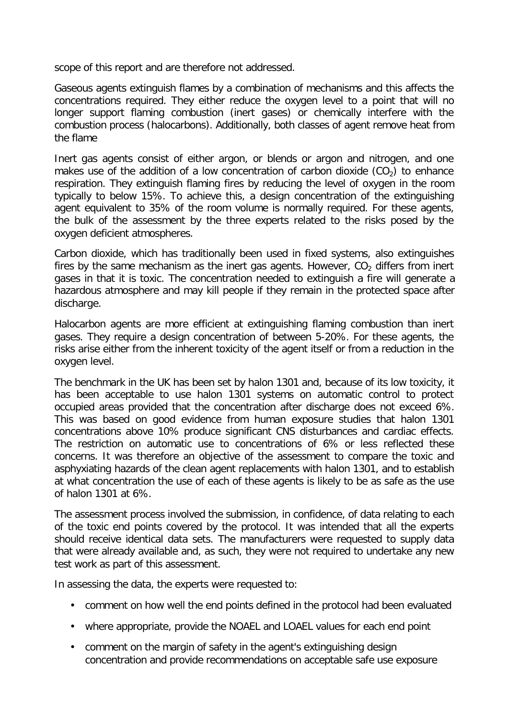scope of this report and are therefore not addressed.

Gaseous agents extinguish flames by a combination of mechanisms and this affects the concentrations required. They either reduce the oxygen level to a point that will no longer support flaming combustion (inert gases) or chemically interfere with the combustion process (halocarbons). Additionally, both classes of agent remove heat from the flame

Inert gas agents consist of either argon, or blends or argon and nitrogen, and one makes use of the addition of a low concentration of carbon dioxide  $(CO<sub>2</sub>)$  to enhance respiration. They extinguish flaming fires by reducing the level of oxygen in the room typically to below 15%. To achieve this, a design concentration of the extinguishing agent equivalent to 35% of the room volume is normally required. For these agents, the bulk of the assessment by the three experts related to the risks posed by the oxygen deficient atmospheres.

Carbon dioxide, which has traditionally been used in fixed systems, also extinguishes fires by the same mechanism as the inert gas agents. However,  $CO<sub>2</sub>$  differs from inert gases in that it is toxic. The concentration needed to extinguish a fire will generate a hazardous atmosphere and may kill people if they remain in the protected space after discharge.

Halocarbon agents are more efficient at extinguishing flaming combustion than inert gases. They require a design concentration of between 5-20%. For these agents, the risks arise either from the inherent toxicity of the agent itself or from a reduction in the oxygen level.

The benchmark in the UK has been set by halon 1301 and, because of its low toxicity, it has been acceptable to use halon 1301 systems on automatic control to protect occupied areas provided that the concentration after discharge does not exceed 6%. This was based on good evidence from human exposure studies that halon 1301 concentrations above 10% produce significant CNS disturbances and cardiac effects. The restriction on automatic use to concentrations of 6% or less reflected these concerns. It was therefore an objective of the assessment to compare the toxic and asphyxiating hazards of the clean agent replacements with halon 1301, and to establish at what concentration the use of each of these agents is likely to be as safe as the use of halon 1301 at 6%.

The assessment process involved the submission, in confidence, of data relating to each of the toxic end points covered by the protocol. It was intended that all the experts should receive identical data sets. The manufacturers were requested to supply data that were already available and, as such, they were not required to undertake any new test work as part of this assessment.

In assessing the data, the experts were requested to:

- comment on how well the end points defined in the protocol had been evaluated
- where appropriate, provide the NOAEL and LOAEL values for each end point
- comment on the margin of safety in the agent's extinguishing design concentration and provide recommendations on acceptable safe use exposure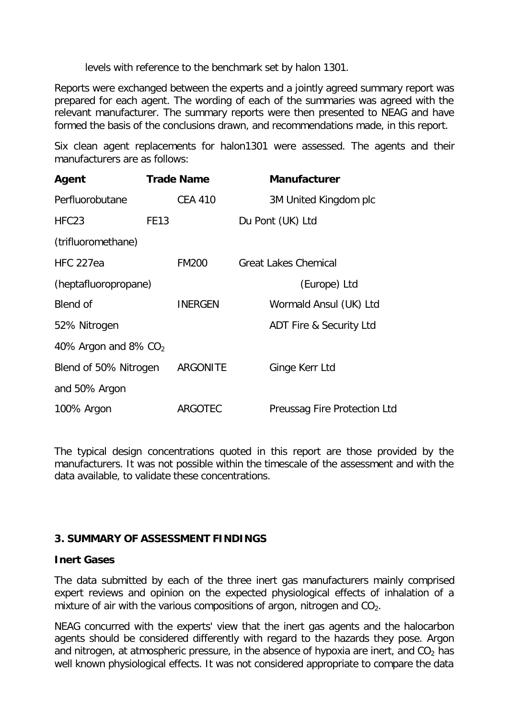levels with reference to the benchmark set by halon 1301.

Reports were exchanged between the experts and a jointly agreed summary report was prepared for each agent. The wording of each of the summaries was agreed with the relevant manufacturer. The summary reports were then presented to NEAG and have formed the basis of the conclusions drawn, and recommendations made, in this report.

Six clean agent replacements for halon1301 were assessed. The agents and their manufacturers are as follows:

| Agent                  |             | <b>Trade Name</b> | <b>Manufacturer</b>          |
|------------------------|-------------|-------------------|------------------------------|
| Perfluorobutane        |             | <b>CEA 410</b>    | 3M United Kingdom plc        |
| HFC <sub>23</sub>      | <b>FE13</b> |                   | Du Pont (UK) Ltd             |
| (trifluoromethane)     |             |                   |                              |
| <b>HFC 227ea</b>       |             | <b>FM200</b>      | <b>Great Lakes Chemical</b>  |
| (heptafluoropropane)   |             |                   | (Europe) Ltd                 |
| Blend of               |             | <b>INERGEN</b>    | Wormald Ansul (UK) Ltd       |
| 52% Nitrogen           |             |                   | ADT Fire & Security Ltd      |
| 40% Argon and 8% $CO2$ |             |                   |                              |
| Blend of 50% Nitrogen  |             | <b>ARGONITE</b>   | Ginge Kerr Ltd               |
| and 50% Argon          |             |                   |                              |
| 100% Argon             |             | ARGOTEC           | Preussag Fire Protection Ltd |

The typical design concentrations quoted in this report are those provided by the manufacturers. It was not possible within the timescale of the assessment and with the data available, to validate these concentrations.

### **3. SUMMARY OF ASSESSMENT FINDINGS**

### **Inert Gases**

The data submitted by each of the three inert gas manufacturers mainly comprised expert reviews and opinion on the expected physiological effects of inhalation of a mixture of air with the various compositions of argon, nitrogen and  $CO<sub>2</sub>$ .

NEAG concurred with the experts' view that the inert gas agents and the halocarbon agents should be considered differently with regard to the hazards they pose. Argon and nitrogen, at atmospheric pressure, in the absence of hypoxia are inert, and  $CO<sub>2</sub>$  has well known physiological effects. It was not considered appropriate to compare the data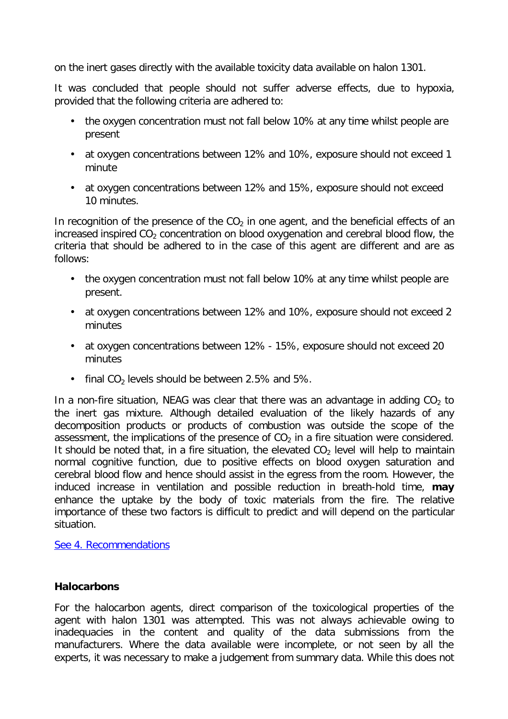on the inert gases directly with the available toxicity data available on halon 1301.

It was concluded that people should not suffer adverse effects, due to hypoxia, provided that the following criteria are adhered to:

- the oxygen concentration must not fall below 10% at any time whilst people are present
- at oxygen concentrations between 12% and 10%, exposure should not exceed 1 minute
- at oxygen concentrations between 12% and 15%, exposure should not exceed 10 minutes.

In recognition of the presence of the  $CO<sub>2</sub>$  in one agent, and the beneficial effects of an increased inspired  $CO<sub>2</sub>$  concentration on blood oxygenation and cerebral blood flow, the criteria that should be adhered to in the case of this agent are different and are as follows:

- the oxygen concentration must not fall below 10% at any time whilst people are present.
- at oxygen concentrations between 12% and 10%, exposure should not exceed 2 minutes
- at oxygen concentrations between 12% 15%, exposure should not exceed 20 minutes
- final  $CO<sub>2</sub>$  levels should be between 2.5% and 5%.

In a non-fire situation, NEAG was clear that there was an advantage in adding  $CO<sub>2</sub>$  to the inert gas mixture. Although detailed evaluation of the likely hazards of any decomposition products or products of combustion was outside the scope of the assessment, the implications of the presence of  $CO<sub>2</sub>$  in a fire situation were considered. It should be noted that, in a fire situation, the elevated  $CO<sub>2</sub>$  level will help to maintain normal cognitive function, due to positive effects on blood oxygen saturation and cerebral blood flow and hence should assist in the egress from the room. However, the induced increase in ventilation and possible reduction in breath-hold time, **may** enhance the uptake by the body of toxic materials from the fire. The relative importance of these two factors is difficult to predict and will depend on the particular situation.

See 4. Recommendations

# **Halocarbons**

For the halocarbon agents, direct comparison of the toxicological properties of the agent with halon 1301 was attempted. This was not always achievable owing to inadequacies in the content and quality of the data submissions from the manufacturers. Where the data available were incomplete, or not seen by all the experts, it was necessary to make a judgement from summary data. While this does not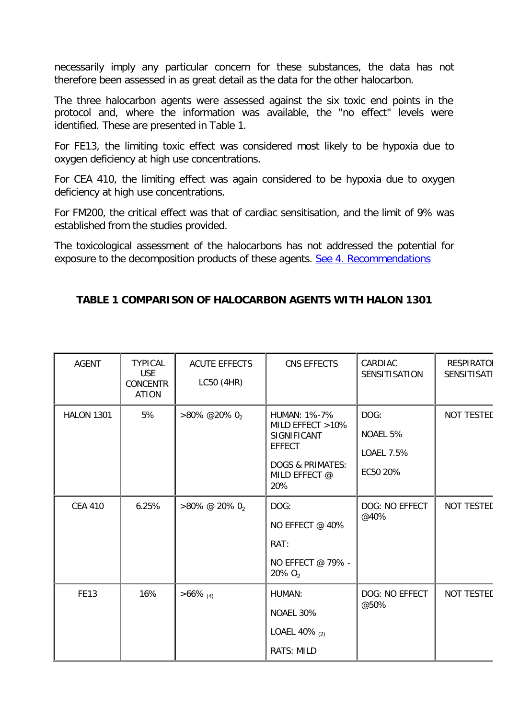necessarily imply any particular concern for these substances, the data has not therefore been assessed in as great detail as the data for the other halocarbon.

The three halocarbon agents were assessed against the six toxic end points in the protocol and, where the information was available, the "no effect" levels were identified. These are presented in Table 1.

For FE13, the limiting toxic effect was considered most likely to be hypoxia due to oxygen deficiency at high use concentrations.

For CEA 410, the limiting effect was again considered to be hypoxia due to oxygen deficiency at high use concentrations.

For FM200, the critical effect was that of cardiac sensitisation, and the limit of 9% was established from the studies provided.

The toxicological assessment of the halocarbons has not addressed the potential for exposure to the decomposition products of these agents. See 4. Recommendations

# **TABLE 1 COMPARISON OF HALOCARBON AGENTS WITH HALON 1301**

| <b>AGENT</b>      | <b>TYPICAL</b><br><b>USE</b><br><b>CONCENTR</b><br><b>ATION</b> | <b>ACUTE EFFECTS</b><br>LC50 (4HR) | CNS EFFECTS                                                                                                                    | CARDIAC<br>SENSITISATION                   | <b>RESPIRATOI</b><br><b>SENSITISATI</b> |
|-------------------|-----------------------------------------------------------------|------------------------------------|--------------------------------------------------------------------------------------------------------------------------------|--------------------------------------------|-----------------------------------------|
| <b>HALON 1301</b> | 5%                                                              | $>80\%$ @20% 02                    | <b>HUMAN: 1%-7%</b><br>MILD EFFECT >10%<br>SIGNIFICANT<br><b>EFFECT</b><br><b>DOGS &amp; PRIMATES:</b><br>MILD EFFECT @<br>20% | DOG:<br>NOAEL 5%<br>LOAEL 7.5%<br>EC50 20% | NOT TESTED                              |
| <b>CEA 410</b>    | 6.25%                                                           | $>80\%$ @ 20% 02                   | DOG:<br>NO EFFECT @ 40%<br>RAT:<br>NO EFFECT @ 79% -<br>$20\% O_2$                                                             | DOG: NO EFFECT<br>@40%                     | NOT TESTED                              |
| <b>FE13</b>       | 16%                                                             | $>66\%$ (4)                        | HUMAN:<br>NOAEL 30%<br>LOAEL 40% (2)<br>RATS: MILD                                                                             | DOG: NO EFFECT<br>@50%                     | NOT TESTED                              |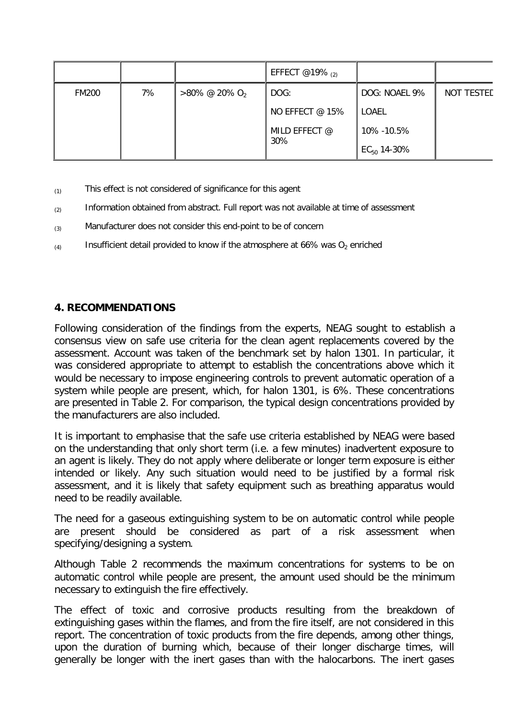|              |    |                              | EFFECT @19% $_{(2)}$ |                  |                   |
|--------------|----|------------------------------|----------------------|------------------|-------------------|
| <b>FM200</b> | 7% | $>80\%$ @ 20% O <sub>2</sub> | DOG:                 | DOG: NOAEL 9%    | <b>NOT TESTED</b> |
|              |    |                              | NO EFFECT @ 15%      | LOAEL            |                   |
|              |    |                              | MILD EFFECT @        | 10% - 10.5%      |                   |
|              |    |                              | 30%                  | $EC_{50}$ 14-30% |                   |

- $_{(1)}$  This effect is not considered of significance for this agent
- $(2)$  Information obtained from abstract. Full report was not available at time of assessment
- $(3)$  Manufacturer does not consider this end-point to be of concern
- $(4)$  Insufficient detail provided to know if the atmosphere at 66% was O<sub>2</sub> enriched

# **4. RECOMMENDATIONS**

Following consideration of the findings from the experts, NEAG sought to establish a consensus view on safe use criteria for the clean agent replacements covered by the assessment. Account was taken of the benchmark set by halon 1301. In particular, it was considered appropriate to attempt to establish the concentrations above which it would be necessary to impose engineering controls to prevent automatic operation of a system while people are present, which, for halon 1301, is 6%. These concentrations are presented in Table 2. For comparison, the typical design concentrations provided by the manufacturers are also included.

It is important to emphasise that the safe use criteria established by NEAG were based on the understanding that only short term (i.e. a few minutes) inadvertent exposure to an agent is likely. They do not apply where deliberate or longer term exposure is either intended or likely. Any such situation would need to be justified by a formal risk assessment, and it is likely that safety equipment such as breathing apparatus would need to be readily available.

The need for a gaseous extinguishing system to be on automatic control while people are present should be considered as part of a risk assessment when specifying/designing a system.

Although Table 2 recommends the maximum concentrations for systems to be on automatic control while people are present, the amount used should be the minimum necessary to extinguish the fire effectively.

The effect of toxic and corrosive products resulting from the breakdown of extinguishing gases within the flames, and from the fire itself, are not considered in this report. The concentration of toxic products from the fire depends, among other things, upon the duration of burning which, because of their longer discharge times, will generally be longer with the inert gases than with the halocarbons. The inert gases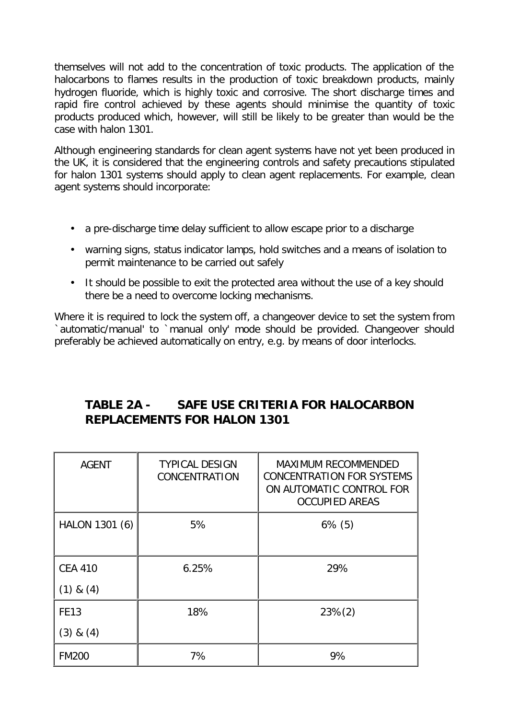themselves will not add to the concentration of toxic products. The application of the halocarbons to flames results in the production of toxic breakdown products, mainly hydrogen fluoride, which is highly toxic and corrosive. The short discharge times and rapid fire control achieved by these agents should minimise the quantity of toxic products produced which, however, will still be likely to be greater than would be the case with halon 1301.

Although engineering standards for clean agent systems have not yet been produced in the UK, it is considered that the engineering controls and safety precautions stipulated for halon 1301 systems should apply to clean agent replacements. For example, clean agent systems should incorporate:

- a pre-discharge time delay sufficient to allow escape prior to a discharge
- warning signs, status indicator lamps, hold switches and a means of isolation to permit maintenance to be carried out safely
- It should be possible to exit the protected area without the use of a key should there be a need to overcome locking mechanisms.

Where it is required to lock the system off, a changeover device to set the system from `automatic/manual' to `manual only' mode should be provided. Changeover should preferably be achieved automatically on entry, e.g. by means of door interlocks.

# **TABLE 2A - SAFE USE CRITERIA FOR HALOCARBON REPLACEMENTS FOR HALON 1301**

| <b>AGENT</b>   | <b>TYPICAL DESIGN</b><br>CONCENTRATION | <b>MAXIMUM RECOMMENDED</b><br><b>CONCENTRATION FOR SYSTEMS</b><br>ON AUTOMATIC CONTROL FOR<br><b>OCCUPIED AREAS</b> |
|----------------|----------------------------------------|---------------------------------------------------------------------------------------------------------------------|
| HALON 1301 (6) | 5%                                     | $6\%$ (5)                                                                                                           |
| <b>CEA 410</b> | 6.25%                                  | 29%                                                                                                                 |
| $(1)$ & $(4)$  |                                        |                                                                                                                     |
| <b>FE13</b>    | 18%                                    | $23\%(2)$                                                                                                           |
| $(3)$ & $(4)$  |                                        |                                                                                                                     |
| <b>FM200</b>   | 7%                                     | 9%                                                                                                                  |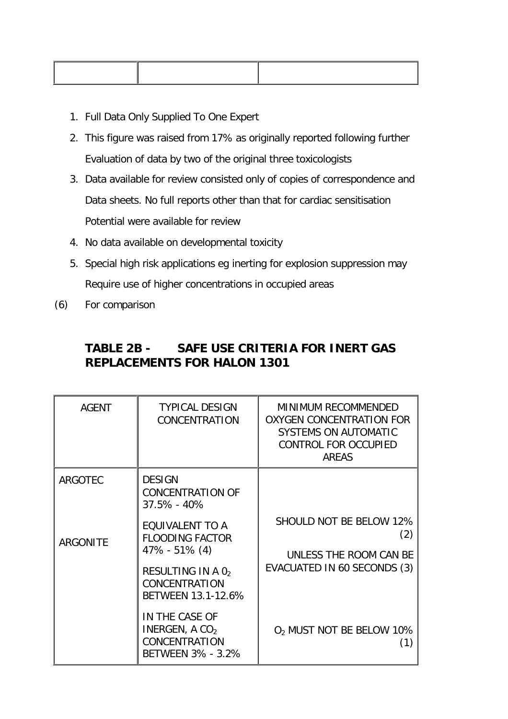- 1. Full Data Only Supplied To One Expert
- 2. This figure was raised from 17% as originally reported following further Evaluation of data by two of the original three toxicologists
- 3. Data available for review consisted only of copies of correspondence and Data sheets. No full reports other than that for cardiac sensitisation Potential were available for review
- 4. No data available on developmental toxicity
- 5. Special high risk applications eg inerting for explosion suppression may Require use of higher concentrations in occupied areas
- (6) For comparison

# **TABLE 2B - SAFE USE CRITERIA FOR INERT GAS REPLACEMENTS FOR HALON 1301**

| <b>AGENT</b>    | <b>TYPICAL DESIGN</b><br>CONCENTRATION                                   | <b>MINIMUM RECOMMENDED</b><br><b>OXYGEN CONCENTRATION FOR</b><br><b>SYSTEMS ON AUTOMATIC</b><br>CONTROL FOR OCCUPIED<br><b>AREAS</b> |
|-----------------|--------------------------------------------------------------------------|--------------------------------------------------------------------------------------------------------------------------------------|
| <b>ARGOTEC</b>  | <b>DESIGN</b><br><b>CONCENTRATION OF</b><br>37.5% - 40%                  |                                                                                                                                      |
| <b>ARGONITE</b> | EQUIVALENT TO A<br><b>FLOODING FACTOR</b><br>$47\% - 51\% (4)$           | SHOULD NOT BE BELOW 12%<br>UNLESS THE ROOM CAN BE                                                                                    |
|                 | RESULTING IN A 02<br>CONCENTRATION<br>BETWEEN 13.1-12.6%                 | EVACUATED IN 60 SECONDS (3)                                                                                                          |
|                 | IN THE CASE OF<br>INERGEN, A $CO2$<br>CONCENTRATION<br>BETWEEN 3% - 3.2% | O <sub>2</sub> MUST NOT BE BELOW 10%                                                                                                 |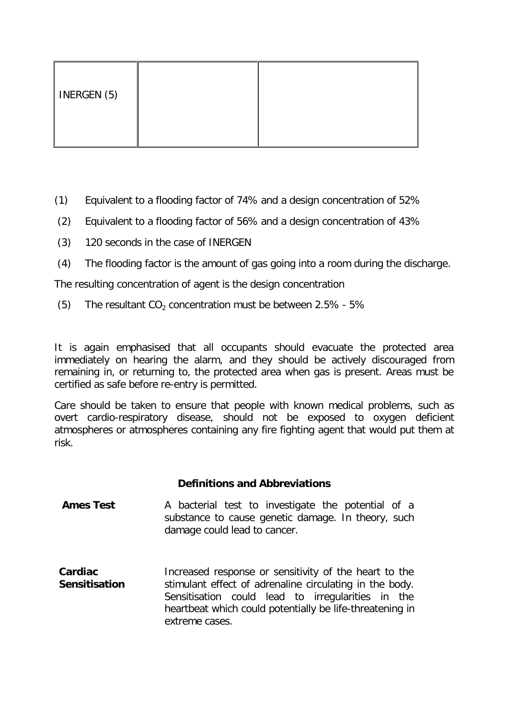| INERGEN (5) |  |
|-------------|--|
|             |  |

- (1) Equivalent to a flooding factor of 74% and a design concentration of 52%
- (2) Equivalent to a flooding factor of 56% and a design concentration of 43%
- (3) 120 seconds in the case of INERGEN
- (4) The flooding factor is the amount of gas going into a room during the discharge.

The resulting concentration of agent is the design concentration

(5) The resultant  $CO<sub>2</sub>$  concentration must be between 2.5% - 5%

It is again emphasised that all occupants should evacuate the protected area immediately on hearing the alarm, and they should be actively discouraged from remaining in, or returning to, the protected area when gas is present. Areas must be certified as safe before re-entry is permitted.

Care should be taken to ensure that people with known medical problems, such as overt cardio-respiratory disease, should not be exposed to oxygen deficient atmospheres or atmospheres containing any fire fighting agent that would put them at risk.

### **Definitions and Abbreviations**

- **Ames Test** A bacterial test to investigate the potential of a substance to cause genetic damage. In theory, such damage could lead to cancer.
- **Cardiac Sensitisation** Increased response or sensitivity of the heart to the stimulant effect of adrenaline circulating in the body. Sensitisation could lead to irregularities in the heartbeat which could potentially be life-threatening in extreme cases.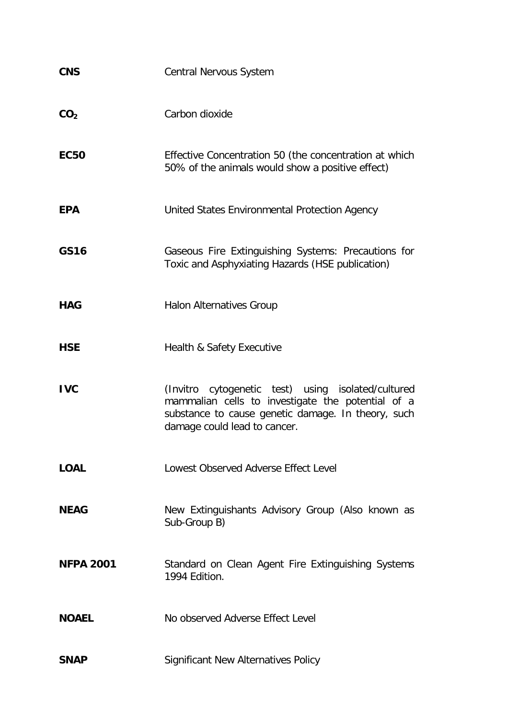| <b>CNS</b>       | Central Nervous System                                                                                                                                                                        |
|------------------|-----------------------------------------------------------------------------------------------------------------------------------------------------------------------------------------------|
| CO <sub>2</sub>  | Carbon dioxide                                                                                                                                                                                |
| <b>EC50</b>      | Effective Concentration 50 (the concentration at which<br>50% of the animals would show a positive effect)                                                                                    |
| <b>EPA</b>       | United States Environmental Protection Agency                                                                                                                                                 |
| <b>GS16</b>      | Gaseous Fire Extinguishing Systems: Precautions for<br>Toxic and Asphyxiating Hazards (HSE publication)                                                                                       |
| <b>HAG</b>       | <b>Halon Alternatives Group</b>                                                                                                                                                               |
| <b>HSE</b>       | Health & Safety Executive                                                                                                                                                                     |
| <b>IVC</b>       | (Invitro cytogenetic test) using isolated/cultured<br>mammalian cells to investigate the potential of a<br>substance to cause genetic damage. In theory, such<br>damage could lead to cancer. |
| <b>LOAL</b>      | Lowest Observed Adverse Effect Level                                                                                                                                                          |
| <b>NEAG</b>      | New Extinguishants Advisory Group (Also known as<br>Sub-Group B)                                                                                                                              |
| <b>NFPA 2001</b> | Standard on Clean Agent Fire Extinguishing Systems<br>1994 Edition.                                                                                                                           |
| <b>NOAEL</b>     | No observed Adverse Effect Level                                                                                                                                                              |
| <b>SNAP</b>      | <b>Significant New Alternatives Policy</b>                                                                                                                                                    |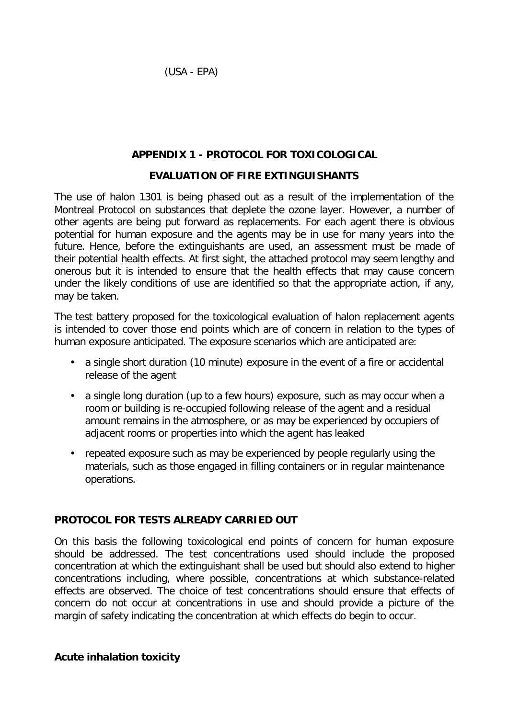(USA - EPA)

# **APPENDIX 1 - PROTOCOL FOR TOXICOLOGICAL**

# **EVALUATION OF FIRE EXTINGUISHANTS**

The use of halon 1301 is being phased out as a result of the implementation of the Montreal Protocol on substances that deplete the ozone layer. However, a number of other agents are being put forward as replacements. For each agent there is obvious potential for human exposure and the agents may be in use for many years into the future. Hence, before the extinguishants are used, an assessment must be made of their potential health effects. At first sight, the attached protocol may seem lengthy and onerous but it is intended to ensure that the health effects that may cause concern under the likely conditions of use are identified so that the appropriate action, if any, may be taken.

The test battery proposed for the toxicological evaluation of halon replacement agents is intended to cover those end points which are of concern in relation to the types of human exposure anticipated. The exposure scenarios which are anticipated are:

- a single short duration (10 minute) exposure in the event of a fire or accidental release of the agent
- a single long duration (up to a few hours) exposure, such as may occur when a room or building is re-occupied following release of the agent and a residual amount remains in the atmosphere, or as may be experienced by occupiers of adjacent rooms or properties into which the agent has leaked
- repeated exposure such as may be experienced by people regularly using the materials, such as those engaged in filling containers or in regular maintenance operations.

# **PROTOCOL FOR TESTS ALREADY CARRIED OUT**

On this basis the following toxicological end points of concern for human exposure should be addressed. The test concentrations used should include the proposed concentration at which the extinguishant shall be used but should also extend to higher concentrations including, where possible, concentrations at which substance-related effects are observed. The choice of test concentrations should ensure that effects of concern do not occur at concentrations in use and should provide a picture of the margin of safety indicating the concentration at which effects do begin to occur.

# **Acute inhalation toxicity**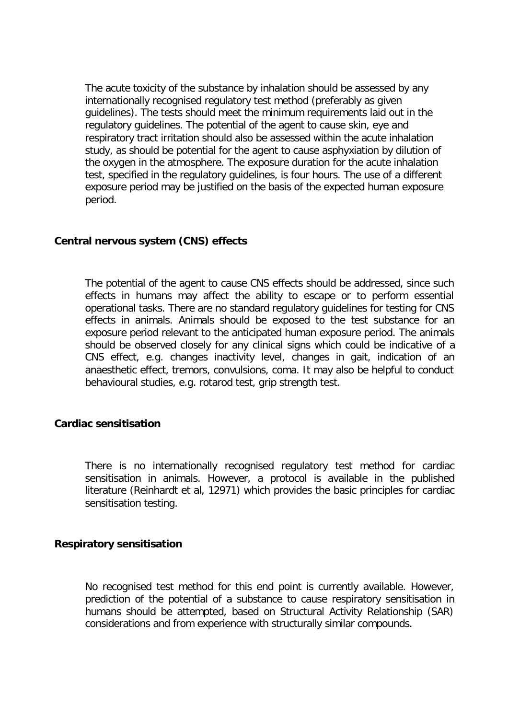The acute toxicity of the substance by inhalation should be assessed by any internationally recognised regulatory test method (preferably as given guidelines). The tests should meet the minimum requirements laid out in the regulatory guidelines. The potential of the agent to cause skin, eye and respiratory tract irritation should also be assessed within the acute inhalation study, as should be potential for the agent to cause asphyxiation by dilution of the oxygen in the atmosphere. The exposure duration for the acute inhalation test, specified in the regulatory guidelines, is four hours. The use of a different exposure period may be justified on the basis of the expected human exposure period.

### **Central nervous system (CNS) effects**

The potential of the agent to cause CNS effects should be addressed, since such effects in humans may affect the ability to escape or to perform essential operational tasks. There are no standard regulatory guidelines for testing for CNS effects in animals. Animals should be exposed to the test substance for an exposure period relevant to the anticipated human exposure period. The animals should be observed closely for any clinical signs which could be indicative of a CNS effect, e.g. changes inactivity level, changes in gait, indication of an anaesthetic effect, tremors, convulsions, coma. It may also be helpful to conduct behavioural studies, e.g. rotarod test, grip strength test.

### **Cardiac sensitisation**

There is no internationally recognised regulatory test method for cardiac sensitisation in animals. However, a protocol is available in the published literature (Reinhardt et al, 12971) which provides the basic principles for cardiac sensitisation testing.

#### **Respiratory sensitisation**

No recognised test method for this end point is currently available. However, prediction of the potential of a substance to cause respiratory sensitisation in humans should be attempted, based on Structural Activity Relationship (SAR) considerations and from experience with structurally similar compounds.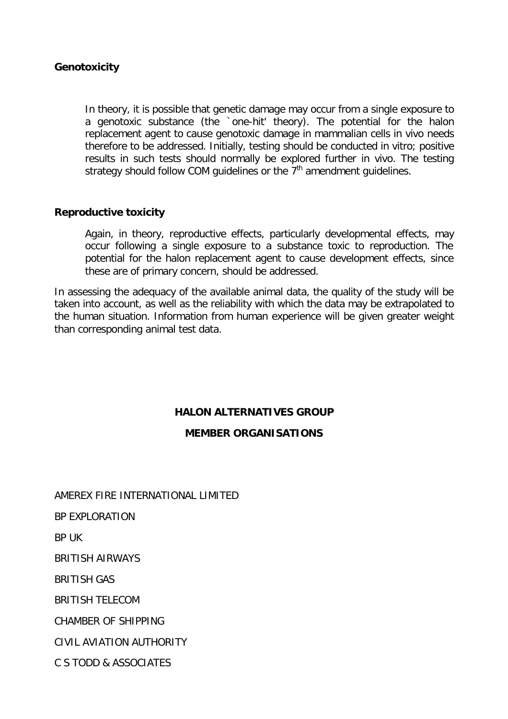### **Genotoxicity**

In theory, it is possible that genetic damage may occur from a single exposure to a genotoxic substance (the `one-hit' theory). The potential for the halon replacement agent to cause genotoxic damage in mammalian cells in vivo needs therefore to be addressed. Initially, testing should be conducted in vitro; positive results in such tests should normally be explored further in vivo. The testing strategy should follow COM guidelines or the  $7<sup>th</sup>$  amendment guidelines.

### **Reproductive toxicity**

Again, in theory, reproductive effects, particularly developmental effects, may occur following a single exposure to a substance toxic to reproduction. The potential for the halon replacement agent to cause development effects, since these are of primary concern, should be addressed.

In assessing the adequacy of the available animal data, the quality of the study will be taken into account, as well as the reliability with which the data may be extrapolated to the human situation. Information from human experience will be given greater weight than corresponding animal test data.

### **HALON ALTERNATIVES GROUP**

### **MEMBER ORGANISATIONS**

AMEREX FIRE INTERNATIONAL LIMITED BP EXPLORATION BP UK BRITISH AIRWAYS BRITISH GAS BRITISH TELECOM CHAMBER OF SHIPPING CIVIL AVIATION AUTHORITY C S TODD & ASSOCIATES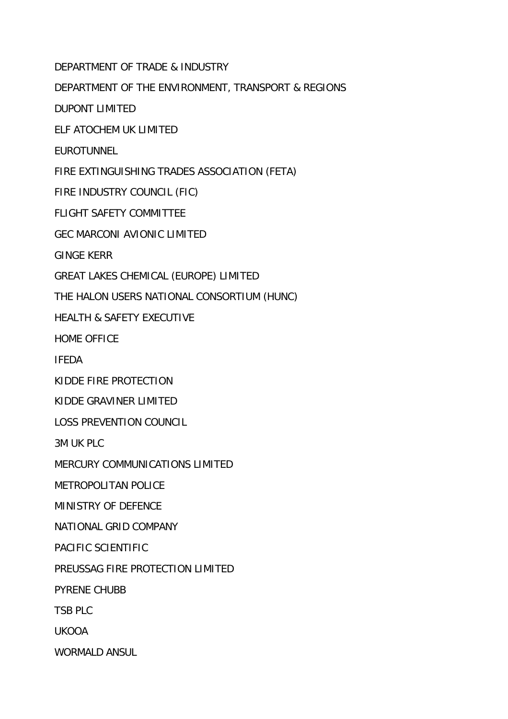DEPARTMENT OF TRADE & INDUSTRY

DEPARTMENT OF THE ENVIRONMENT, TRANSPORT & REGIONS

DUPONT LIMITED

ELF ATOCHEM UK LIMITED

**EUROTUNNEL** 

FIRE EXTINGUISHING TRADES ASSOCIATION (FETA)

FIRE INDUSTRY COUNCIL (FIC)

FLIGHT SAFETY COMMITTEE

GEC MARCONI AVIONIC LIMITED

GINGE KERR

GREAT LAKES CHEMICAL (EUROPE) LIMITED

THE HALON USERS NATIONAL CONSORTIUM (HUNC)

HEALTH & SAFETY EXECUTIVE

HOME OFFICE

IFEDA

KIDDE FIRE PROTECTION

KIDDE GRAVINER LIMITED

LOSS PREVENTION COUNCIL

3M UK PLC

MERCURY COMMUNICATIONS LIMITED

METROPOLITAN POLICE

MINISTRY OF DEFENCE

NATIONAL GRID COMPANY

PACIFIC SCIENTIFIC

PREUSSAG FIRE PROTECTION LIMITED

PYRENE CHUBB

TSB PLC

UKOOA

WORMALD ANSUL